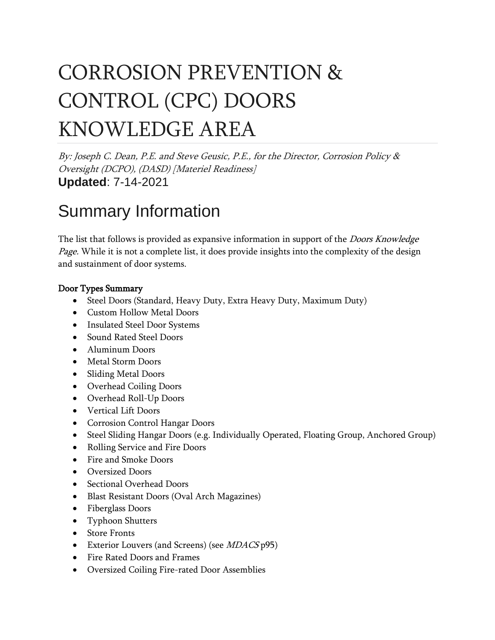# CORROSION PREVENTION & CONTROL (CPC) DOORS KNOWLEDGE AREA

By: Joseph C. Dean, P.E. and Steve Geusic, P.E., for the Director, Corrosion Policy & Oversight (DCPO), (DASD) [Materiel Readiness] **Updated**: 7-14-2021

## Summary Information

The list that follows is provided as expansive information in support of the *Doors Knowledge* Page. While it is not a complete list, it does provide insights into the complexity of the design and sustainment of door systems.

#### Door Types Summary

- Steel Doors (Standard, Heavy Duty, Extra Heavy Duty, Maximum Duty)
- Custom Hollow Metal Doors
- Insulated Steel Door Systems
- Sound Rated Steel Doors
- Aluminum Doors
- Metal Storm Doors
- Sliding Metal Doors
- Overhead Coiling Doors
- Overhead Roll-Up Doors
- Vertical Lift Doors
- Corrosion Control Hangar Doors
- Steel Sliding Hangar Doors (e.g. Individually Operated, Floating Group, Anchored Group)
- Rolling Service and Fire Doors
- Fire and Smoke Doors
- Oversized Doors
- Sectional Overhead Doors
- Blast Resistant Doors (Oval Arch Magazines)
- Fiberglass Doors
- Typhoon Shutters
- Store Fronts
- Exterior Louvers (and Screens) (see *MDACS* p95)
- Fire Rated Doors and Frames
- Oversized Coiling Fire-rated Door Assemblies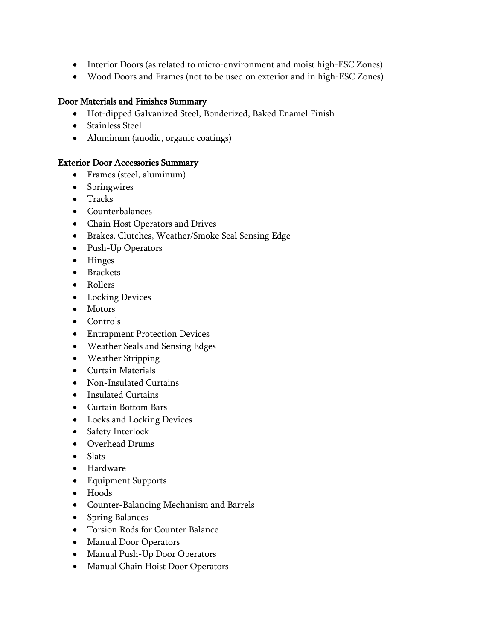- Interior Doors (as related to micro-environment and moist high-ESC Zones)
- Wood Doors and Frames (not to be used on exterior and in high-ESC Zones)

#### Door Materials and Finishes Summary

- Hot-dipped Galvanized Steel, Bonderized, Baked Enamel Finish
- Stainless Steel
- Aluminum (anodic, organic coatings)

#### Exterior Door Accessories Summary

- Frames (steel, aluminum)
- Springwires
- Tracks
- Counterbalances
- Chain Host Operators and Drives
- Brakes, Clutches, Weather/Smoke Seal Sensing Edge
- Push-Up Operators
- Hinges
- Brackets
- Rollers
- Locking Devices
- Motors
- Controls
- Entrapment Protection Devices
- Weather Seals and Sensing Edges
- Weather Stripping
- Curtain Materials
- Non-Insulated Curtains
- Insulated Curtains
- Curtain Bottom Bars
- Locks and Locking Devices
- Safety Interlock
- Overhead Drums
- Slats
- Hardware
- Equipment Supports
- Hoods
- Counter-Balancing Mechanism and Barrels
- Spring Balances
- Torsion Rods for Counter Balance
- Manual Door Operators
- Manual Push-Up Door Operators
- Manual Chain Hoist Door Operators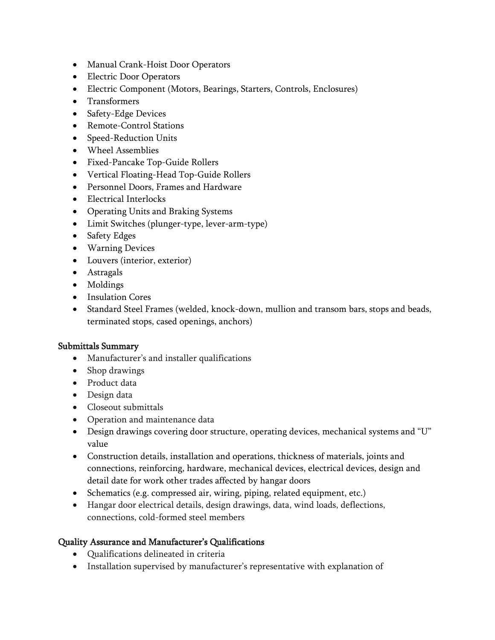- Manual Crank-Hoist Door Operators
- Electric Door Operators
- Electric Component (Motors, Bearings, Starters, Controls, Enclosures)
- Transformers
- Safety-Edge Devices
- Remote-Control Stations
- Speed-Reduction Units
- Wheel Assemblies
- Fixed-Pancake Top-Guide Rollers
- Vertical Floating-Head Top-Guide Rollers
- Personnel Doors, Frames and Hardware
- Electrical Interlocks
- Operating Units and Braking Systems
- Limit Switches (plunger-type, lever-arm-type)
- Safety Edges
- Warning Devices
- Louvers (interior, exterior)
- Astragals
- Moldings
- Insulation Cores
- Standard Steel Frames (welded, knock-down, mullion and transom bars, stops and beads, terminated stops, cased openings, anchors)

#### Submittals Summary

- Manufacturer's and installer qualifications
- Shop drawings
- Product data
- Design data
- Closeout submittals
- Operation and maintenance data
- Design drawings covering door structure, operating devices, mechanical systems and "U" value
- Construction details, installation and operations, thickness of materials, joints and connections, reinforcing, hardware, mechanical devices, electrical devices, design and detail date for work other trades affected by hangar doors
- Schematics (e.g. compressed air, wiring, piping, related equipment, etc.)
- Hangar door electrical details, design drawings, data, wind loads, deflections, connections, cold-formed steel members

#### Quality Assurance and Manufacturer's Qualifications

- Qualifications delineated in criteria
- Installation supervised by manufacturer's representative with explanation of